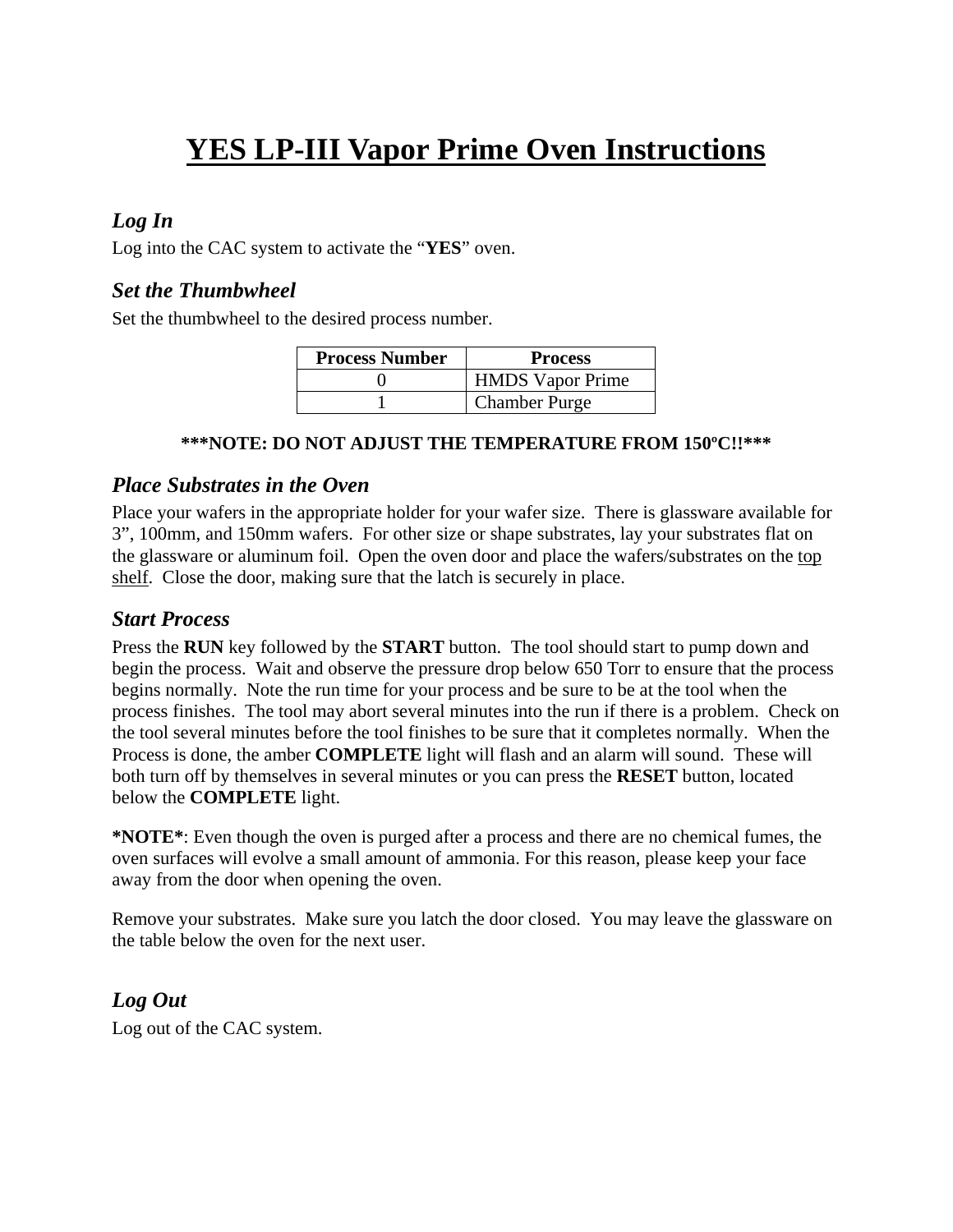# **YES LP-III Vapor Prime Oven Instructions**

## *Log In*

Log into the CAC system to activate the "**YES**" oven.

## *Set the Thumbwheel*

Set the thumbwheel to the desired process number.

| <b>Process Number</b> | <b>Process</b>          |
|-----------------------|-------------------------|
|                       | <b>HMDS</b> Vapor Prime |
|                       | <b>Chamber Purge</b>    |

#### **\*\*\*NOTE: DO NOT ADJUST THE TEMPERATURE FROM 150ºC!!\*\*\***

#### *Place Substrates in the Oven*

Place your wafers in the appropriate holder for your wafer size. There is glassware available for 3", 100mm, and 150mm wafers. For other size or shape substrates, lay your substrates flat on the glassware or aluminum foil. Open the oven door and place the wafers/substrates on the top shelf. Close the door, making sure that the latch is securely in place.

#### *Start Process*

Press the **RUN** key followed by the **START** button. The tool should start to pump down and begin the process. Wait and observe the pressure drop below 650 Torr to ensure that the process begins normally. Note the run time for your process and be sure to be at the tool when the process finishes. The tool may abort several minutes into the run if there is a problem. Check on the tool several minutes before the tool finishes to be sure that it completes normally. When the Process is done, the amber **COMPLETE** light will flash and an alarm will sound. These will both turn off by themselves in several minutes or you can press the **RESET** button, located below the **COMPLETE** light.

**\*NOTE\***: Even though the oven is purged after a process and there are no chemical fumes, the oven surfaces will evolve a small amount of ammonia. For this reason, please keep your face away from the door when opening the oven.

Remove your substrates. Make sure you latch the door closed. You may leave the glassware on the table below the oven for the next user.

## *Log Out*

Log out of the CAC system.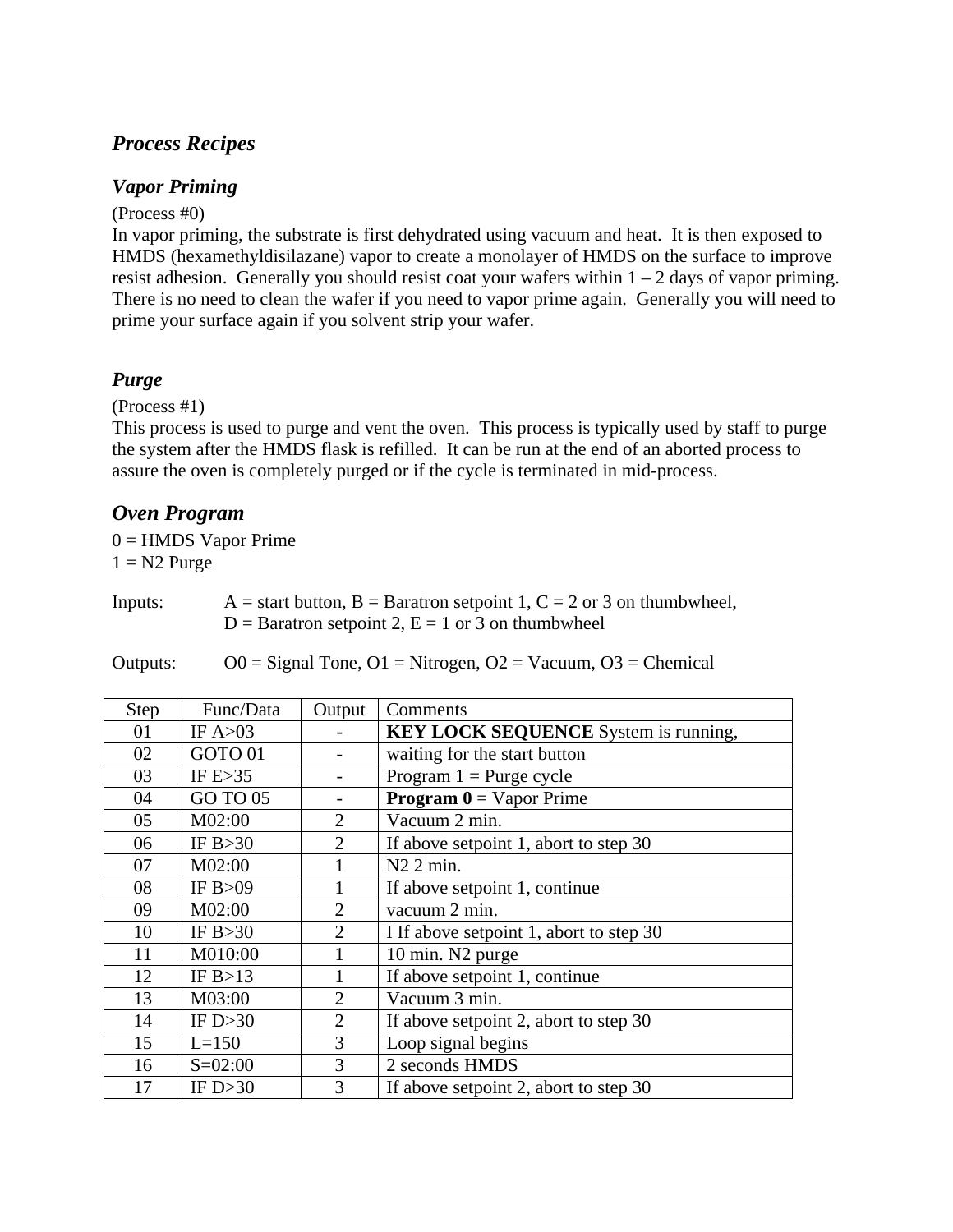## *Process Recipes*

#### *Vapor Priming*

(Process #0)

In vapor priming, the substrate is first dehydrated using vacuum and heat. It is then exposed to HMDS (hexamethyldisilazane) vapor to create a monolayer of HMDS on the surface to improve resist adhesion. Generally you should resist coat your wafers within  $1 - 2$  days of vapor priming. There is no need to clean the wafer if you need to vapor prime again. Generally you will need to prime your surface again if you solvent strip your wafer.

## *Purge*

(Process #1)

This process is used to purge and vent the oven. This process is typically used by staff to purge the system after the HMDS flask is refilled. It can be run at the end of an aborted process to assure the oven is completely purged or if the cycle is terminated in mid-process.

## *Oven Program*

 $0 =$  HMDS Vapor Prime  $1 = N2$  Purge

Inputs:  $A = start button, B = Baratron setpoint 1, C = 2 or 3 on thumbwheel,$  $D =$  Baratron setpoint 2,  $E = 1$  or 3 on thumbwheel

Outputs:  $O0 =$  Signal Tone,  $O1 =$  Nitrogen,  $O2 =$  Vacuum,  $O3 =$  Chemical

| <b>Step</b> | Func/Data   | Output         | Comments                                     |
|-------------|-------------|----------------|----------------------------------------------|
| 01          | IF $A>03$   |                | <b>KEY LOCK SEQUENCE</b> System is running,  |
| 02          | GOTO 01     |                | waiting for the start button                 |
| 03          | IF $E > 35$ |                | Program $1 =$ Purge cycle                    |
| 04          | GO TO 05    |                | <b>Program <math>0 = V</math></b> apor Prime |
| 05          | M02:00      | $\overline{2}$ | Vacuum 2 min.                                |
| 06          | IF $B > 30$ | $\overline{2}$ | If above setpoint 1, abort to step 30        |
| 07          | M02:00      |                | $N2$ 2 min.                                  |
| 08          | IF $B>09$   |                | If above setpoint 1, continue                |
| 09          | M02:00      | $\overline{2}$ | vacuum 2 min.                                |
| 10          | IF $B > 30$ | $\overline{2}$ | I If above setpoint 1, abort to step 30      |
| 11          | M010:00     |                | 10 min. N2 purge                             |
| 12          | IF $B>13$   |                | If above setpoint 1, continue                |
| 13          | M03:00      | $\overline{2}$ | Vacuum 3 min.                                |
| 14          | IF $D > 30$ | $\overline{2}$ | If above setpoint 2, abort to step 30        |
| 15          | $L = 150$   | 3              | Loop signal begins                           |
| 16          | $S = 02:00$ | 3              | 2 seconds HMDS                               |
| 17          | IF $D > 30$ | 3              | If above setpoint 2, abort to step 30        |